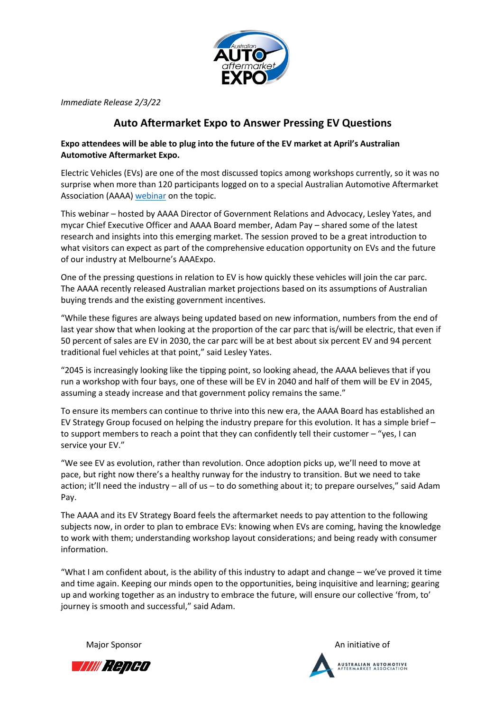

*Immediate Release 2/3/22*

## **Auto Aftermarket Expo to Answer Pressing EV Questions**

## **Expo attendees will be able to plug into the future of the EV market at April's Australian Automotive Aftermarket Expo.**

Electric Vehicles (EVs) are one of the most discussed topics among workshops currently, so it was no surprise when more than 120 participants logged on to a special Australian Automotive Aftermarket Association (AAAA) [webinar](https://youtu.be/LTAxoGPIjh4) on the topic.

This webinar – hosted by AAAA Director of Government Relations and Advocacy, Lesley Yates, and mycar Chief Executive Officer and AAAA Board member, Adam Pay – shared some of the latest research and insights into this emerging market. The session proved to be a great introduction to what visitors can expect as part of the comprehensive education opportunity on EVs and the future of our industry at Melbourne's AAAExpo.

One of the pressing questions in relation to EV is how quickly these vehicles will join the car parc. The AAAA recently released Australian market projections based on its assumptions of Australian buying trends and the existing government incentives.

"While these figures are always being updated based on new information, numbers from the end of last year show that when looking at the proportion of the car parc that is/will be electric, that even if 50 percent of sales are EV in 2030, the car parc will be at best about six percent EV and 94 percent traditional fuel vehicles at that point," said Lesley Yates.

"2045 is increasingly looking like the tipping point, so looking ahead, the AAAA believes that if you run a workshop with four bays, one of these will be EV in 2040 and half of them will be EV in 2045, assuming a steady increase and that government policy remains the same."

To ensure its members can continue to thrive into this new era, the AAAA Board has established an EV Strategy Group focused on helping the industry prepare for this evolution. It has a simple brief – to support members to reach a point that they can confidently tell their customer – "yes, I can service your EV."

"We see EV as evolution, rather than revolution. Once adoption picks up, we'll need to move at pace, but right now there's a healthy runway for the industry to transition. But we need to take action; it'll need the industry – all of us – to do something about it; to prepare ourselves," said Adam Pay.

The AAAA and its EV Strategy Board feels the aftermarket needs to pay attention to the following subjects now, in order to plan to embrace EVs: knowing when EVs are coming, having the knowledge to work with them; understanding workshop layout considerations; and being ready with consumer information.

"What I am confident about, is the ability of this industry to adapt and change – we've proved it time and time again. Keeping our minds open to the opportunities, being inquisitive and learning; gearing up and working together as an industry to embrace the future, will ensure our collective 'from, to' journey is smooth and successful," said Adam.

Major Sponsor **An initiative of** An initiative of



**AUSTRALIAN AUTOMOTIVE**<br>AFTERMARKET ASSOCIATION